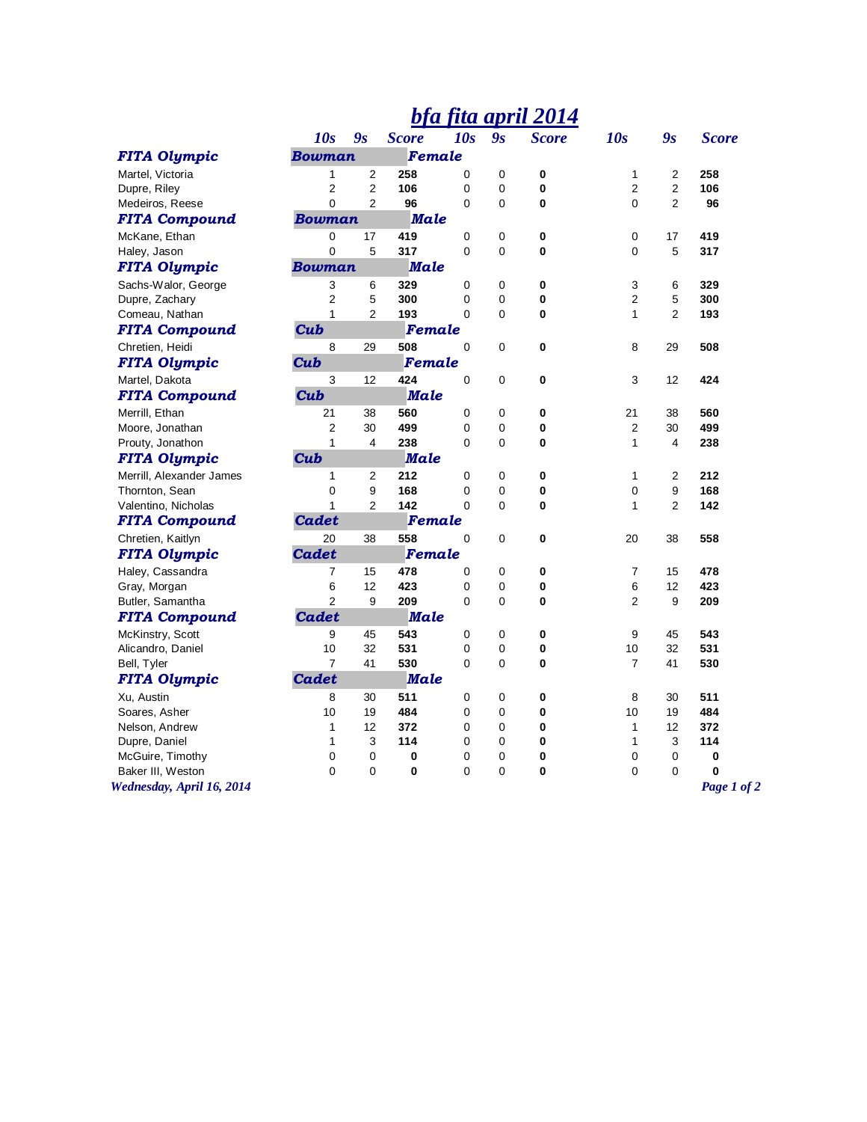## *bfa fita april 2014*

|                           | 10s                          | 9s             | <b>Score</b> | 10s          | 9s | <b>Score</b> | 10s            | $\mathbf{g}_\text{s}$ | <b>Score</b> |
|---------------------------|------------------------------|----------------|--------------|--------------|----|--------------|----------------|-----------------------|--------------|
| <b>FITA Olympic</b>       | Female<br><b>Bowman</b>      |                |              |              |    |              |                |                       |              |
| Martel, Victoria          | 1                            | $\overline{2}$ | 258          | 0            | 0  | 0            | 1              | $\overline{c}$        | 258          |
| Dupre, Riley              | $\overline{2}$               | $\overline{2}$ | 106          | 0            | 0  | 0            | $\overline{2}$ | $\overline{2}$        | 106          |
| Medeiros, Reese           | $\overline{0}$               | $\overline{2}$ | 96           | 0            | 0  | 0            | 0              | $\overline{c}$        | 96           |
| <b>FITA Compound</b>      | <b>Male</b><br><b>Bowman</b> |                |              |              |    |              |                |                       |              |
| McKane, Ethan             | 0                            | 17             | 419          | 0            | 0  | 0            | 0              | 17                    | 419          |
| Haley, Jason              | 0                            | 5              | 317          | 0            | 0  | 0            | 0              | 5                     | 317          |
| <b>FITA Olympic</b>       | <b>Bowman</b><br><b>Male</b> |                |              |              |    |              |                |                       |              |
| Sachs-Walor, George       | 3                            | 6              | 329          | 0            | 0  | $\bf{0}$     | 3              | 6                     | 329          |
| Dupre, Zachary            | $\overline{2}$               | 5              | 300          | 0            | 0  | 0            | $\overline{2}$ | 5                     | 300          |
| Comeau, Nathan            | $\mathbf{1}$                 | $\overline{2}$ | 193          | 0            | 0  | 0            | 1              | $\overline{2}$        | 193          |
| <b>FITA Compound</b>      | Cub<br>Female                |                |              |              |    |              |                |                       |              |
| Chretien, Heidi           | 8                            | 29             | 508          | 0            | 0  | 0            | 8              | 29                    | 508          |
| <b>FITA Olympic</b>       | Cub                          |                | Female       |              |    |              |                |                       |              |
| Martel, Dakota            | 3                            | 12             | 424          | 0            | 0  | 0            | 3              | 12                    | 424          |
| <b>FITA Compound</b>      | Cub                          |                | <b>Male</b>  |              |    |              |                |                       |              |
| Merrill, Ethan            | 21                           | 38             | 560          | 0            | 0  | 0            | 21             | 38                    | 560          |
| Moore, Jonathan           | $\overline{2}$               | 30             | 499          | 0            | 0  | 0            | 2              | 30                    | 499          |
| Prouty, Jonathon          | $\mathbf{1}$                 | 4              | 238          | $\Omega$     | 0  | $\bf{0}$     | 1              | 4                     | 238          |
| <b>FITA Olympic</b>       | Cub                          |                | <b>Male</b>  |              |    |              |                |                       |              |
| Merrill, Alexander James  | 1                            | $\overline{2}$ | 212          | 0            | 0  | $\mathbf 0$  | 1              | $\overline{c}$        | 212          |
| Thornton, Sean            | 0                            | 9              | 168          | 0            | 0  | 0            | 0              | 9                     | 168          |
| Valentino, Nicholas       | $\mathbf{1}$                 | $\overline{2}$ | 142          | $\mathbf{0}$ | 0  | 0            | 1              | 2                     | 142          |
| <b>FITA Compound</b>      | <b>Cadet</b>                 |                | Female       |              |    |              |                |                       |              |
| Chretien, Kaitlyn         | 20                           | 38             | 558          | $\pmb{0}$    | 0  | 0            | 20             | 38                    | 558          |
| <b>FITA Olympic</b>       | <b>Cadet</b>                 |                | Female       |              |    |              |                |                       |              |
| Haley, Cassandra          | $\overline{7}$               | 15             | 478          | 0            | 0  | 0            | 7              | 15                    | 478          |
| Gray, Morgan              | 6                            | 12             | 423          | 0            | 0  | 0            | 6              | 12                    | 423          |
| Butler, Samantha          | $\overline{2}$               | 9              | 209          | $\Omega$     | 0  | 0            | $\overline{2}$ | 9                     | 209          |
| <b>FITA Compound</b>      | <b>Cadet</b>                 |                | <b>Male</b>  |              |    |              |                |                       |              |
| McKinstry, Scott          | 9                            | 45             | 543          | 0            | 0  | 0            | 9              | 45                    | 543          |
| Alicandro, Daniel         | 10                           | 32             | 531          | 0            | 0  | 0            | 10             | 32                    | 531          |
| Bell, Tyler               | $\overline{7}$               | 41             | 530          | 0            | 0  | 0            | $\overline{7}$ | 41                    | 530          |
| <b>FITA Olympic</b>       | <b>Cadet</b>                 |                | <b>Male</b>  |              |    |              |                |                       |              |
| Xu, Austin                | 8                            | 30             | 511          | 0            | 0  | 0            | 8              | 30                    | 511          |
| Soares, Asher             | 10                           | 19             | 484          | 0            | 0  | 0            | 10             | 19                    | 484          |
| Nelson, Andrew            | 1                            | 12             | 372          | 0            | 0  | 0            | $\mathbf{1}$   | 12                    | 372          |
| Dupre, Daniel             | 1                            | $\mathsf 3$    | 114          | 0            | 0  | 0            | 1              | 3                     | 114          |
| McGuire, Timothy          | 0                            | 0              | 0            | 0            | 0  | 0            | 0              | 0                     | 0            |
| Baker III, Weston         | 0                            | 0              | $\bf{0}$     | 0            | 0  | 0            | 0              | 0                     | 0            |
| Wednesday, April 16, 2014 |                              |                |              |              |    |              |                |                       | Page 1 of 2  |